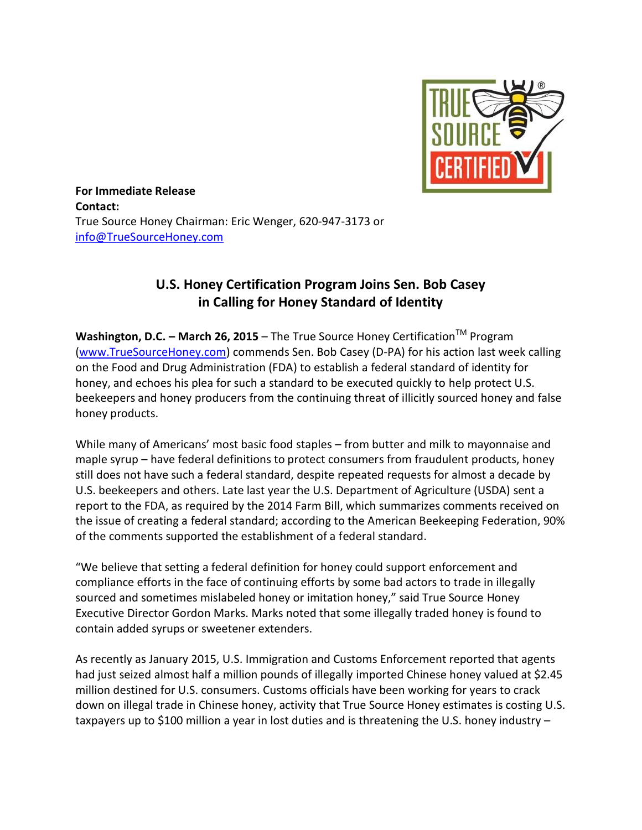

**For Immediate Release Contact:** True Source Honey Chairman: Eric Wenger, 620-947-3173 or [info@TrueSourceHoney.com](mailto:info@TrueSourceHoney.com)

## **U.S. Honey Certification Program Joins Sen. Bob Casey in Calling for Honey Standard of Identity**

**Washington, D.C. − March 26, 2015** – The True Source Honey Certification<sup>™</sup> Program [\(www.TrueSourceHoney.com\)](http://www.truesourcehoney.com/) commends Sen. Bob Casey (D-PA) for his action last week calling on the Food and Drug Administration (FDA) to establish a federal standard of identity for honey, and echoes his plea for such a standard to be executed quickly to help protect U.S. beekeepers and honey producers from the continuing threat of illicitly sourced honey and false honey products.

While many of Americans' most basic food staples – from butter and milk to mayonnaise and maple syrup – have federal definitions to protect consumers from fraudulent products, honey still does not have such a federal standard, despite repeated requests for almost a decade by U.S. beekeepers and others. Late last year the U.S. Department of Agriculture (USDA) sent a report to the FDA, as required by the 2014 Farm Bill, which summarizes comments received on the issue of creating a federal standard; according to the American Beekeeping Federation, 90% of the comments supported the establishment of a federal standard.

"We believe that setting a federal definition for honey could support enforcement and compliance efforts in the face of continuing efforts by some bad actors to trade in illegally sourced and sometimes mislabeled honey or imitation honey," said True Source Honey Executive Director Gordon Marks. Marks noted that some illegally traded honey is found to contain added syrups or sweetener extenders.

As recently as January 2015, U.S. Immigration and Customs Enforcement reported that agents had just seized almost half a million pounds of illegally imported Chinese honey valued at \$2.45 million destined for U.S. consumers. Customs officials have been working for years to crack down on illegal trade in Chinese honey, activity that True Source Honey estimates is costing U.S. taxpayers up to \$100 million a year in lost duties and is threatening the U.S. honey industry –